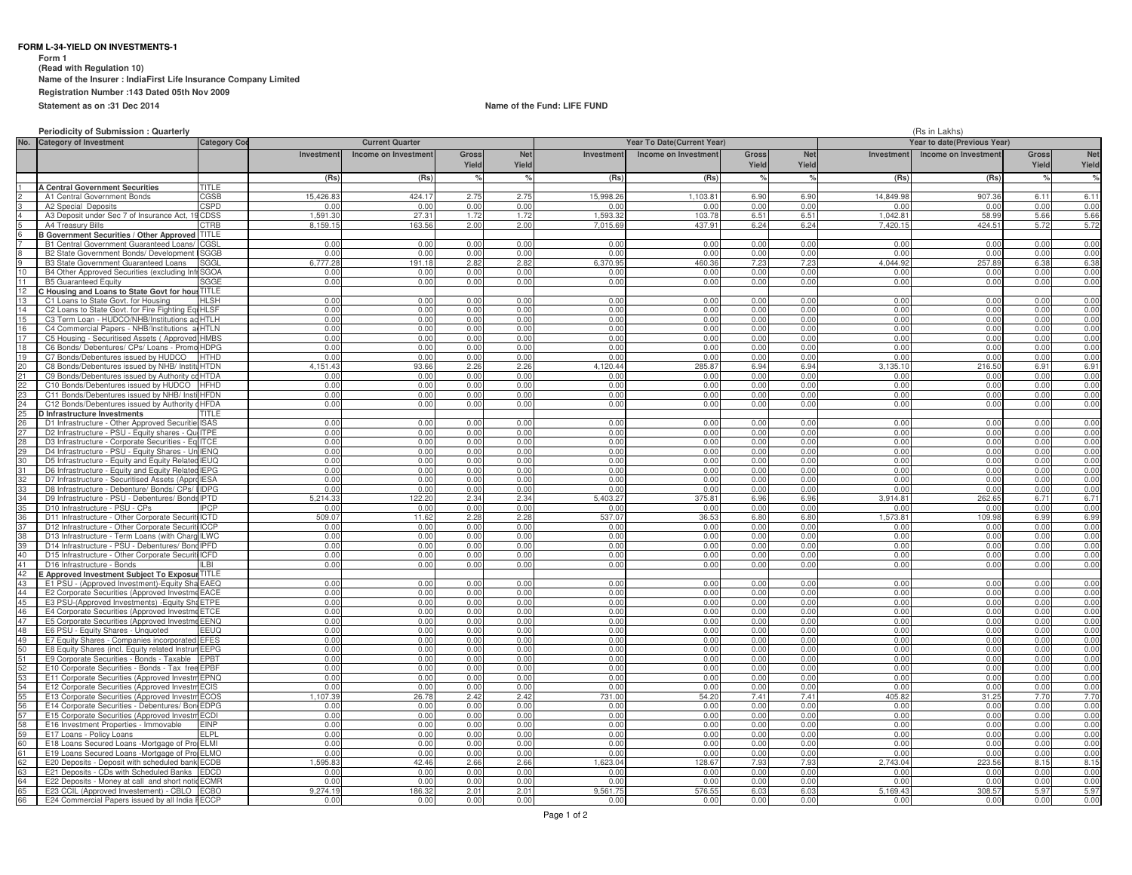### **FORM L-34-YIELD ON INVESTMENTS-1**

**Form 1**

**(Read with Regulation 10)**

**Name of the Insurer : IndiaFirst Life Insurance Company Limited**

**Registration Number :143 Dated 05th Nov 2009**

**Statement as on :31 Dec 2014**

## **Name of the Fund: LIFE FUND**

|  | <b>Periodicity of Submission: Quarterly</b> |  |
|--|---------------------------------------------|--|
|--|---------------------------------------------|--|

|          | <b>Periodicity of Submission: Quarterly</b>                                                      |                      |                            |                        |                |                     |                                   |                      |                | (Rs in Lakhs)       |                |                             |                       |                     |  |  |
|----------|--------------------------------------------------------------------------------------------------|----------------------|----------------------------|------------------------|----------------|---------------------|-----------------------------------|----------------------|----------------|---------------------|----------------|-----------------------------|-----------------------|---------------------|--|--|
| No.      | <b>Category of Investment</b>                                                                    | <b>Category Co</b>   |                            | <b>Current Quarter</b> |                |                     | <b>Year To Date(Current Year)</b> |                      |                |                     |                | Year to date(Previous Year) |                       |                     |  |  |
|          |                                                                                                  |                      | Investment                 | Income on Investment   | Gross<br>Yield | <b>Net</b><br>Yield | Investment                        | Income on Investment | Gross<br>Yield | <b>Net</b><br>Yield | Investment     | Income on Investment        | <b>Gross</b><br>Yield | <b>Net</b><br>Yield |  |  |
|          |                                                                                                  |                      | (Rs)                       | (Rs)                   |                | $\mathsf{o}_k$      | (Rs)                              | (Rs)                 |                |                     | (Rs)           | (Rs)                        |                       | $\frac{9}{6}$       |  |  |
|          | A Central Government Securities                                                                  | TITLE                |                            |                        |                |                     |                                   |                      |                |                     |                |                             |                       |                     |  |  |
|          | A1 Central Government Bonds                                                                      | CGSB                 | 15.426.83                  | 424.17                 | 2.75           | 2.75                | 15.998.26                         | 1.103.81             | 6.90           | 6.90                | 14.849.98      | 907.36                      | 6.11                  | 6.11                |  |  |
|          | A2 Special Deposits                                                                              | CSPD                 | 0 <sup>0<sup>c</sup></sup> | 0.00                   | 0.00           | 0.00                | 0 <sub>0</sub>                    | 0.00                 | 0.00           | 0.00                | 0.00           | 0.00                        | 0.00                  | 0.00                |  |  |
|          | A3 Deposit under Sec 7 of Insurance Act, 1                                                       | CDSS                 | 1,591.30                   | 27.3                   | 1.72           | 1.72                | 1.593.32                          | 103.78               | 6.51           | 6.51                | 1,042.81       | 58.99                       | 5.66                  | 5.66                |  |  |
|          | A4 Treasury Bills                                                                                | CTRB                 | 8.159.1                    | 163.56                 | 2.00           | 2.00                | 7.015.69                          | 437.91               | 6.24           | 6.24                | 7.420.15       | 424.51                      | 5.72                  | 5.72                |  |  |
|          | <b>B Government Securities / Other Approved</b><br><b>B1 Central Government Guaranteed Loans</b> | <b>TITLE</b><br>CGSL | 0.00                       | 0.00                   | 0 <sub>0</sub> | 0.00                | 0.00                              | 0.00                 | 0.00           | 0 <sub>0</sub>      | 0.00           | 0.00                        | 0.00                  | 0.00                |  |  |
|          | B2 State Government Bonds/ Developmen                                                            | SGGB                 | 0.00                       | 0.00                   | 0.00           | 0.00                | 0.00                              | 0.00                 | 0.00           | 0.00                | 0.00           | 0.00                        | 0.00                  | 0.00                |  |  |
|          | B3 State Government Guaranteed Loans                                                             | SGGL                 | 6,777.28                   | 191.18                 | 2.82           | 2.82                | 6,370.95                          | 460.36               | 7.23           | 7.23                | 4.044.92       | 257.89                      | 6.38                  | 6.38                |  |  |
| 10       | B4 Other Approved Securities (excluding Inf                                                      | <b>SGOA</b>          | 0.00                       | 0.00                   | 0.00           | 0.00                | 0.00                              | 0.00                 | 0.00           | 0.00                | 0.00           | 0.00                        | 0.00                  | 0.00                |  |  |
| 11       | <b>B5 Guaranteed Equity</b>                                                                      | SGGE                 | 0.00                       | 0.00                   | 0.00           | 0.00                | 0.00                              | 0.00                 | 0.00           | 0.00                | 0.00           | 0.00                        | 0.00                  | 0.00                |  |  |
|          | C Housing and Loans to State Govt for hou                                                        | TITLE                |                            |                        |                |                     |                                   |                      |                |                     |                |                             |                       |                     |  |  |
| 13       | C1 Loans to State Govt. for Housing                                                              | HL SH                | 0.00                       | 0.00                   | 0.00           | 0.00                | 0.00                              | 0.00                 | 0.00           | 0.00                | 0.00           | 0.00                        | 0.00                  | 0.00                |  |  |
| 14       | C2 Loans to State Govt, for Fire Fighting Eq                                                     | <b>HLSF</b>          | 0.00                       | 0.00                   | 0.00           | 0.00                | 0.00                              | 0.00                 | 0.00           | 0.00                | 0.00           | 0.00                        | 0.00                  | 0.00                |  |  |
| 15       | C3 Term Loan - HUDCO/NHB/Institutions ac                                                         | HTI H                | 0.00                       | 0.00                   | 0.00           | 0.00                | 0.00                              | 0.00                 | 0.00           | 0.00                | 0.00           | 0.00                        | 0.00                  | 0.00                |  |  |
| 16       | C4 Commercial Papers - NHB/Institutions                                                          | <b>HTLN</b>          | 0.00                       | 0.00                   | 0.00           | 0.00                | 0.00                              | 0.00                 | 0.00           | 0.00                | 0.00           | 0.00                        | 0.00                  | 0.00                |  |  |
| 17       | C5 Housing - Securitised Assets (Approver                                                        | <b>HMBS</b>          | 0.00                       | 0.00                   | 0.00           | 0.00                | 0.00                              | 0.00                 | 0.00           | 0.00                | 0.00           | 0.00                        | 0.00                  | 0.00                |  |  |
| 18       | C6 Bonds/ Debentures/ CPs/ Loans - Prom                                                          | <b>HDPG</b>          | 0.00                       | 0.00                   | 0.00           | 0.00                | 0.00                              | 0.00                 | 0.00           | 0.00                | 0.00           | 0.00                        | 0.00                  | 0.00                |  |  |
| 19       | C7 Bonds/Debentures issued by HUDCO                                                              | <b>HTHD</b>          | 0.00                       | 0.00                   | 0.00           | 0.00                | 0.00                              | 0.00                 | 0.00           | 0.00                | 0.00           | 0.00                        | 0.00                  | 0.00                |  |  |
| 20       | C8 Bonds/Debentures issued by NHB/ Inst                                                          | <b>HTDN</b>          | 1 151 4                    | 93.66                  | 2.26           | 2.26                | 4.120.44                          | 285.87               | 6.94           | 6.94                | 3.135.1        | 216.50                      | 6.91                  | 6.91                |  |  |
| 21       | C9 Bonds/Debentures issued by Authority                                                          | <b>HTDA</b>          | 0.00                       | 0.00                   | 0.00           | 0.00                | 0.00                              | 0.00                 | 0.00           | 0.00                | 0.00           | 0.00                        | 0.00                  | 0.00                |  |  |
| 22       | C10 Bonds/Debentures issued by HUDCO                                                             | <b>HFHD</b>          | 0.00                       | 0.00                   | 0.00           | 0.00                | 0.00                              | 0.00                 | 0.00           | 0.00                | 0.00           | 0.00                        | 0.00                  | 0.00                |  |  |
| 23       | C11 Bonds/Debentures issued by NHB/ Inst                                                         | <b>HFDN</b>          | 0.00<br>0.00               | 0.00                   | 0.00<br>0.00   | 0.00<br>0.00        | 0.00<br>0.00                      | 0.00                 | 0.00<br>0.00   | 0.00                | 0.00           | 0.00                        | 0.00<br>0.00          | 0.00                |  |  |
| 24<br>25 | C12 Bonds/Debentures issued by Authority cHFDA                                                   |                      |                            | 0.00                   |                |                     |                                   | 0.00                 |                | 0.00                | 0.00           | 0.00                        |                       | 0.00                |  |  |
| 26       | D Infrastructure Investments<br>D1 Infrastructure - Other Approved Securitie                     | ISAS                 | 0.00                       | 0.00                   | 0.00           | 0.00                | 0.00                              | 0.00                 | 0.00           | 0.00                | 0.00           | 0.00                        | 0.00                  | 0.00                |  |  |
| 27       | D2 Infrastructure - PSU - Equity shares - QuilTPE                                                |                      | 0.00                       | 0.00                   | 0.00           | 0.00                | 0.00                              | 0.00                 | 0.00           | 0.00                | 0.00           | 0.00                        | 0.00                  | 0.00                |  |  |
| 28       | D3 Infrastructure - Corporate Securities - Eq ITCE                                               |                      | 0.00                       | 0.00                   | 0.00           | 0.00                | 0.00                              | 0.00                 | 0.00           | 0.00                | 0.00           | 0.00                        | 0.00                  | 0.00                |  |  |
| 29       | D4 Infrastructure - PSU - Equity Shares - Un IENQ                                                |                      | 0.00                       | 0.00                   | 0.00           | 0.00                | 0.00                              | 0.00                 | 0.00           | 0.00                | 0.00           | 0.00                        | 0.00                  | 0.00                |  |  |
| 30       | D5 Infrastructure - Equity and Equity Related                                                    | <b>IEUO</b>          | 0.00                       | 0.00                   | 0.00           | 0.00                | 0.00                              | 0.00                 | 0.00           | 0.00                | 0.00           | 0.00                        | 0.00                  | 0.00                |  |  |
| 31       | D6 Infrastructure - Equity and Equity Related                                                    | <b>IEPG</b>          | 0.00                       | 0.00                   | 0.00           | 0.00                | 0.00                              | 0.00                 | 0.00           | 0.00                | 0.00           | 0.00                        | 0.00                  | 0.00                |  |  |
| 32       | D7 Infrastructure - Securitised Assets (Appr                                                     | <b>IESA</b>          | 0.00                       | 0.00                   | 0.00           | 0.00                | 0.00                              | 0.00                 | 0.00           | 0.00                | 0.00           | 0.00                        | 0.00                  | 0.00                |  |  |
| 33       | D8 Infrastructure - Debenture/ Bonds/ CPs.                                                       | <b>IDPG</b>          | 0.00                       | 0.00                   | 0.00           | 0.00                | 0.00                              | 0.00                 | 0.00           | 0.00                | 0.00           | 0.00                        | 0.00                  | 0.00                |  |  |
| 34       | D9 Infrastructure - PSU - Debentures/ Bond                                                       | <b>IPTD</b>          | 5.214.33                   | 122.20                 | 2.34           | 2.34                | 5.403.27                          | 375.81               | 6.96           | 6.96                | 3.914.81       | 262.65                      | 6.71                  | 6.71                |  |  |
| 35       | D10 Infrastructure - PSU - CPs                                                                   | PCP                  | 0.00                       | 0.00                   | 0.00           | 0.00                | 0.00                              | 0.00                 | 0.00           | 0.00                | 0.00           | 0.00                        | 0.00                  | 0.00                |  |  |
|          | D11 Infrastructure - Other Corporate Securit                                                     | <b>ICTD</b>          | 509.0                      | 11.62                  | 2.28           | 2.28                | 537.07                            | 36.53                | 6.80           | 6.80                | 1.573.81       | 109.98                      | 6.99                  | 6.99                |  |  |
| 37       | D12 Infrastructure - Other Corporate Securiti                                                    | <b>ICCP</b>          | 0.00                       | 0.00                   | 0.00           | 0.00                | 0.00                              | 0.00                 | 0.00           | 0.00                | 0.00           | 0.00                        | 0.00                  | 0.00                |  |  |
| 38       | D13 Infrastructure - Term Loans (with Chard                                                      | <b>ILWC</b>          | 0.00                       | 0.00                   | 0.00           | 0.00                | 0.00                              | 0.00                 | 0.00           | 0.00                | 0.00           | 0.00                        | 0.00                  | 0.00                |  |  |
| 39       | D14 Infrastructure - PSU - Debentures/ Bon                                                       | <b>IPFD</b>          | 0.00                       | 0.00                   | 0.00           | 0.00                | 0.00                              | 0.00                 | 0.00           | 0.00                | 0.00           | 0.00                        | 0.00                  | 0.00<br>0.00        |  |  |
| 40<br>41 | D15 Infrastructure - Other Corporate Secur<br>D16 Infrastructure - Bonds                         | CFD<br>II RI         | 0.00<br>0.00               | 0.00<br>0.00           | 0.00<br>0.00   | 0.00<br>0.00        | 0.00<br>0.00                      | 0.00<br>0.00         | 0.00<br>0.00   | 0.00<br>0.00        | 0.00<br>0.00   | 0.00<br>0.00                | 0.00<br>0.00          | 0.00                |  |  |
| 42       | E Approved Investment Subject To Exposur                                                         | <b>ITITLE</b>        |                            |                        |                |                     |                                   |                      |                |                     |                |                             |                       |                     |  |  |
| 43       | E1 PSU - (Approved Investment)-Equity Sh                                                         | EAEQ                 | 0.00                       | 0.00                   | 0.00           | 0.00                | 0.00                              | 0.00                 | 0.00           | 0.00                | 0.00           | 0.00                        | 0.00                  | 0.00                |  |  |
| 44       | E2 Corporate Securities (Approved Investm                                                        | <b>EACE</b>          | 0.00                       | 0.00                   | 0.00           | 0.00                | 0.00                              | 0.00                 | 0.00           | 0.00                | 0.00           | 0.00                        | 0.00                  | 0.00                |  |  |
| 45       | E3 PSU-(Approved Investments) - Equity Sh                                                        | <b>ETPE</b>          | 0.00                       | 0.00                   | 0.00           | 0.00                | 0.00                              | 0.00                 | 0.00           | 0.00                | 0.00           | 0.00                        | 0.00                  | 0.00                |  |  |
| 46       | E4 Corporate Securities (Approved Investm                                                        | <b>ETCE</b>          | 0.00                       | 0.00                   | 0.00           | 0.00                | 0.00                              | 0.00                 | 0.00           | 0.00                | 0.00           | 0.00                        | 0.00                  | 0.00                |  |  |
| 47       | E5 Corporate Securities (Approved Investme                                                       | <b>FFNC</b>          | 0 <sub>0</sub>             | 0.00                   | 0 <sub>0</sub> | 0.00                | 0.00                              | 0 <sub>0</sub>       | 0.00           | 0 <sub>0</sub>      | 0.OC           | 0 <sub>0</sub>              | 0.00                  | 0.00                |  |  |
| 48       | E6 PSU - Equity Shares - Unquoted                                                                | EEUQ                 | 0.00                       | 0.00                   | 0.00           | 0.00                | 0.00                              | 0.00                 | 0.00           | 0.00                | 0.00           | 0.00                        | 0.00                  | 0.00                |  |  |
| 49       | E7 Equity Shares - Companies incorporated                                                        | <b>EFES</b>          | 0.00                       | 0.00                   | 0.00           | 0.00                | 0.00                              | 0.00                 | 0.00           | 0.00                | 0.00           | 0.00                        | 0.00                  | 0.00                |  |  |
| 50       | E8 Equity Shares (incl. Equity related Instrun EEPG                                              |                      | 0.00                       | 0.00                   | 0.00           | 0.00                | 0.00                              | 0.00                 | 0.00           | 0.00                | 0.00           | 0.00                        | 0.00                  | 0.00                |  |  |
| 51       | E9 Corporate Securities - Bonds - Taxable                                                        | <b>EPBT</b>          | 0.00                       | 0.00                   | 0.00           | 0.00                | 0.00                              | 0.00                 | 0.00           | 0.00                | 0.00           | 0.00                        | 0.00                  | 0.00                |  |  |
| 52       | E10 Corporate Securities - Bonds - Tax free                                                      | <b>PRF</b>           | 0.00                       | 0.00                   | 0.00           | 0.00                | 0.00                              | 0.00                 | 0.00           | 0.00                | 0.00           | 0.00                        | 0.00                  | 0.00                |  |  |
| 53       | E11 Corporate Securities (Approved Investr                                                       | EPNQ                 | 0.00                       | 0.00                   | 0.00           | 0.00                | 0.00                              | 0.00                 | 0.00           | 0.00                | 0.00           | 0.00                        | 0.00                  | 0.00                |  |  |
| 54       | E12 Corporate Securities (Approved Invest                                                        | ECIS                 | 0.00                       | 0.00                   | 0.00           | 0.00                | 0.00                              | 0.00                 | 0.00           | 0.00                | 0.00           | 0.00                        | 0.00                  | 0.00                |  |  |
| 55       | E13 Corporate Securities (Approved Investr                                                       | <b>ECOS</b>          | ,107.39<br>0.00            | 26.78<br>0.00          | 2.42           | 2.42<br>0.00        | 731.00<br>0.00                    | 54.20<br>0.00        | 7.41<br>0.00   | 7.41<br>0.00        | 405.82<br>0.00 | 31.25<br>0.00               | 7.70<br>0.00          | 7.70<br>0.00        |  |  |
| 56<br>57 | E14 Corporate Securities - Debentures/ Bon EDPG                                                  | <b>ECDI</b>          | 0.00                       | 0.00                   | 0.00<br>0.00   | 0.00                | 0.00                              | 0.00                 | 0.00           | 0.00                | 0.00           | 0.00                        | 0.00                  | 0.00                |  |  |
| 58       | E15 Corporate Securities (Approved Invest<br>E16 Investment Properties - Immovable               | EINP                 | 0.00                       | 0.00                   | 0.00           | 0.00                | 0.00                              | 0.00                 | 0.00           | 0.00                | 0.00           | 0.00                        | 0.00                  | 0.00                |  |  |
| 59       | E17 Loans - Policy Loans                                                                         | ELPL                 | 0.00                       | 0.00                   | 0.00           | 0.00                | 0.00                              | 0.00                 | 0.00           | 0.00                | 0.00           | 0.00                        | 0.00                  | 0.00                |  |  |
| 60       | E18 Loans Secured Loans -Mortgage of Pro                                                         | FI <sub>M</sub>      | 0.00                       | 0.00                   | 0 <sub>0</sub> | 0.00                | 0.00                              | 0.00                 | 0.00           | 0.0(                | 0.00           | 0.00                        | 0.00                  | 0.00                |  |  |
| 61       | E19 Loans Secured Loans -Mortgage of Pro                                                         | FI MC                | 0.00                       | 0.00                   | 0.00           | 0.00                | 0.00                              | 0.00                 | 0.00           | 0.00                | 0.00           | 0.00                        | 0.00                  | 0.00                |  |  |
| 62       | E20 Deposits - Deposit with scheduled bank                                                       | ECDB                 | .595.8                     | 42.46                  | 2.66           | 2.66                | 1.623.04                          | 128.67               | 7.93           | 7.93                | 2.743.04       | 223.56                      | 8.15                  | 8.15                |  |  |
| 63       | E21 Deposits - CDs with Scheduled Banks                                                          | <b>EDCD</b>          | 0.00                       | 0.00                   | 0.00           | 0.00                | 0.00                              | 0.00                 | 0.00           | 0.00                | 0.00           | 0.00                        | 0.00                  | 0.00                |  |  |
| 64       | E22 Deposits - Money at call and short noti                                                      | <b>ECMR</b>          | 0.0(                       | 0.00                   | 0.00           | 0.00                | 0.00                              | 0.00                 | 0.00           | 0.00                | 0.00           | 0.00                        | 0.00                  | 0.00                |  |  |
| 65       | E23 CCIL (Approved Investement) - CBLO                                                           |                      | 9.274.1                    | 186.3                  | 2.01           | 2.01                | 9.561.75                          | 576.5                | 6.03           | 6.03                | 169.43         | 308.5                       | 5.97                  | 5.97                |  |  |
| 66       | E24 Commercial Papers issued by all India FECCP                                                  |                      | 0.00                       | 0.00                   | 0.00           | 0.00                | 0.00                              | 0.00                 | 0.00           | 0.00                | 0.00           | 0.00                        | 0.00                  | 0.00                |  |  |
|          |                                                                                                  |                      |                            |                        |                |                     |                                   |                      |                |                     |                |                             |                       |                     |  |  |